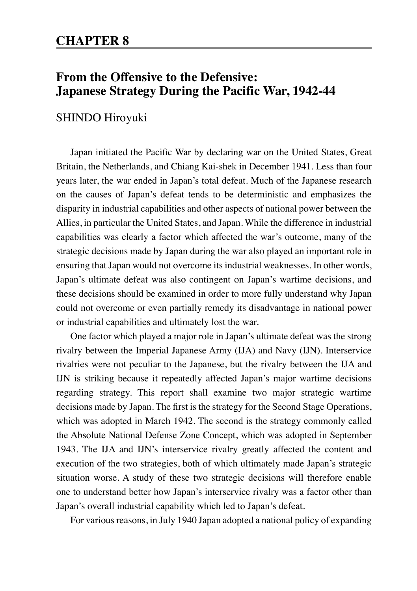## **From the Offensive to the Defensive: Japanese Strategy During the Pacific War, 1942-44**

## SHINDO Hiroyuki

Japan initiated the Pacific War by declaring war on the United States, Great Britain, the Netherlands, and Chiang Kai-shek in December 1941. Less than four years later, the war ended in Japan's total defeat. Much of the Japanese research on the causes of Japan's defeat tends to be deterministic and emphasizes the disparity in industrial capabilities and other aspects of national power between the Allies, in particular the United States, and Japan. While the difference in industrial capabilities was clearly a factor which affected the war's outcome, many of the strategic decisions made by Japan during the war also played an important role in ensuring that Japan would not overcome its industrial weaknesses. In other words, Japan's ultimate defeat was also contingent on Japan's wartime decisions, and these decisions should be examined in order to more fully understand why Japan could not overcome or even partially remedy its disadvantage in national power or industrial capabilities and ultimately lost the war.

One factor which played a major role in Japan's ultimate defeat was the strong rivalry between the Imperial Japanese Army (IJA) and Navy (IJN). Interservice rivalries were not peculiar to the Japanese, but the rivalry between the IJA and IJN is striking because it repeatedly affected Japan's major wartime decisions regarding strategy. This report shall examine two major strategic wartime decisions made by Japan. The first is the strategy for the Second Stage Operations, which was adopted in March 1942. The second is the strategy commonly called the Absolute National Defense Zone Concept, which was adopted in September 1943. The IJA and IJN's interservice rivalry greatly affected the content and execution of the two strategies, both of which ultimately made Japan's strategic situation worse. A study of these two strategic decisions will therefore enable one to understand better how Japan's interservice rivalry was a factor other than Japan's overall industrial capability which led to Japan's defeat.

For various reasons, in July 1940 Japan adopted a national policy of expanding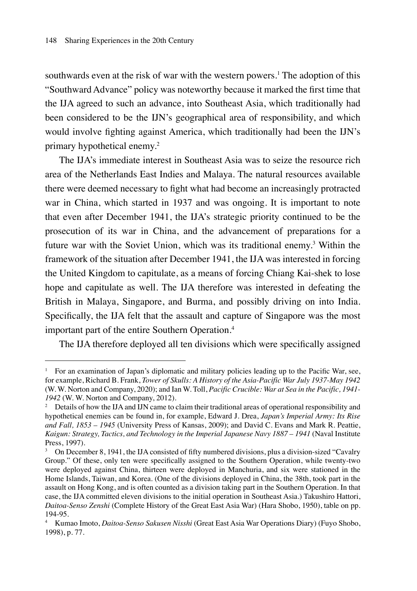southwards even at the risk of war with the western powers.<sup>1</sup> The adoption of this "Southward Advance" policy was noteworthy because it marked the first time that the IJA agreed to such an advance, into Southeast Asia, which traditionally had been considered to be the IJN's geographical area of responsibility, and which would involve fighting against America, which traditionally had been the IJN's primary hypothetical enemy.2

The IJA's immediate interest in Southeast Asia was to seize the resource rich area of the Netherlands East Indies and Malaya. The natural resources available there were deemed necessary to fight what had become an increasingly protracted war in China, which started in 1937 and was ongoing. It is important to note that even after December 1941, the IJA's strategic priority continued to be the prosecution of its war in China, and the advancement of preparations for a future war with the Soviet Union, which was its traditional enemy.3 Within the framework of the situation after December 1941, the IJA was interested in forcing the United Kingdom to capitulate, as a means of forcing Chiang Kai-shek to lose hope and capitulate as well. The IJA therefore was interested in defeating the British in Malaya, Singapore, and Burma, and possibly driving on into India. Specifically, the IJA felt that the assault and capture of Singapore was the most important part of the entire Southern Operation.4

The IJA therefore deployed all ten divisions which were specifically assigned

<sup>1</sup> For an examination of Japan's diplomatic and military policies leading up to the Pacific War, see, for example, Richard B. Frank, *Tower of Skulls: A History of the Asia-Pacific War July 1937-May 1942* (W. W. Norton and Company, 2020); and Ian W. Toll, *Pacific Crucible: War at Sea in the Pacific, 1941- 1942* (W. W. Norton and Company, 2012).

<sup>&</sup>lt;sup>2</sup> Details of how the IJA and IJN came to claim their traditional areas of operational responsibility and hypothetical enemies can be found in, for example, Edward J. Drea, *Japan's Imperial Army: Its Rise and Fall, 1853 – 1945* (University Press of Kansas, 2009); and David C. Evans and Mark R. Peattie, *Kaigun: Strategy, Tactics, and Technology in the Imperial Japanese Navy 1887 – 1941* (Naval Institute Press, 1997).

<sup>&</sup>lt;sup>3</sup> On December 8, 1941, the IJA consisted of fifty numbered divisions, plus a division-sized "Cavalry" Group." Of these, only ten were specifically assigned to the Southern Operation, while twenty-two were deployed against China, thirteen were deployed in Manchuria, and six were stationed in the Home Islands, Taiwan, and Korea. (One of the divisions deployed in China, the 38th, took part in the assault on Hong Kong, and is often counted as a division taking part in the Southern Operation. In that case, the IJA committed eleven divisions to the initial operation in Southeast Asia.) Takushiro Hattori, *Daitoa-Senso Zenshi* (Complete History of the Great East Asia War) (Hara Shobo, 1950), table on pp. 194-95.

<sup>4</sup> Kumao Imoto, *Daitoa-Senso Sakusen Nisshi* (Great East Asia War Operations Diary) (Fuyo Shobo, 1998), p. 77.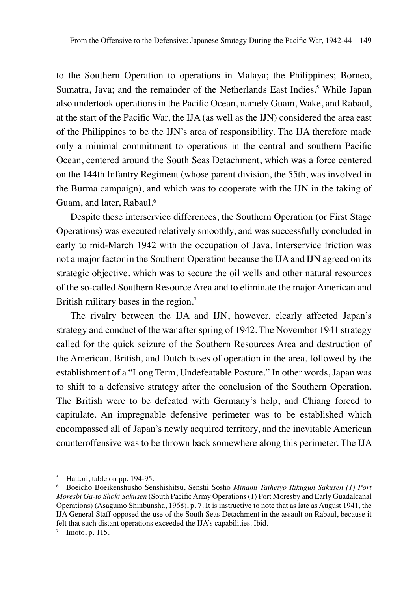to the Southern Operation to operations in Malaya; the Philippines; Borneo, Sumatra, Java; and the remainder of the Netherlands East Indies.<sup>5</sup> While Japan also undertook operations in the Pacific Ocean, namely Guam, Wake, and Rabaul, at the start of the Pacific War, the IJA (as well as the IJN) considered the area east of the Philippines to be the IJN's area of responsibility. The IJA therefore made only a minimal commitment to operations in the central and southern Pacific Ocean, centered around the South Seas Detachment, which was a force centered on the 144th Infantry Regiment (whose parent division, the 55th, was involved in the Burma campaign), and which was to cooperate with the IJN in the taking of Guam, and later, Rabaul.<sup>6</sup>

Despite these interservice differences, the Southern Operation (or First Stage Operations) was executed relatively smoothly, and was successfully concluded in early to mid-March 1942 with the occupation of Java. Interservice friction was not a major factor in the Southern Operation because the IJA and IJN agreed on its strategic objective, which was to secure the oil wells and other natural resources of the so-called Southern Resource Area and to eliminate the major American and British military bases in the region.<sup>7</sup>

The rivalry between the IJA and IJN, however, clearly affected Japan's strategy and conduct of the war after spring of 1942. The November 1941 strategy called for the quick seizure of the Southern Resources Area and destruction of the American, British, and Dutch bases of operation in the area, followed by the establishment of a "Long Term, Undefeatable Posture." In other words, Japan was to shift to a defensive strategy after the conclusion of the Southern Operation. The British were to be defeated with Germany's help, and Chiang forced to capitulate. An impregnable defensive perimeter was to be established which encompassed all of Japan's newly acquired territory, and the inevitable American counteroffensive was to be thrown back somewhere along this perimeter. The IJA

<sup>&</sup>lt;sup>5</sup> Hattori, table on pp. 194-95.

<sup>6</sup> Boeicho Boeikenshusho Senshishitsu, Senshi Sosho *Minami Taiheiyo Rikugun Sakusen (1) Port Moresbi Ga-to Shoki Sakusen* (South Pacific Army Operations (1) Port Moresby and Early Guadalcanal Operations) (Asagumo Shinbunsha, 1968), p. 7. It is instructive to note that as late as August 1941, the IJA General Staff opposed the use of the South Seas Detachment in the assault on Rabaul, because it felt that such distant operations exceeded the IJA's capabilities. Ibid.

 $7$  Imoto, p. 115.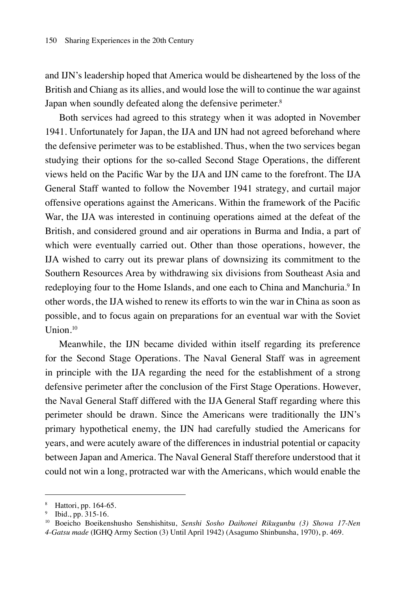and IJN's leadership hoped that America would be disheartened by the loss of the British and Chiang as its allies, and would lose the will to continue the war against Japan when soundly defeated along the defensive perimeter.<sup>8</sup>

Both services had agreed to this strategy when it was adopted in November 1941. Unfortunately for Japan, the IJA and IJN had not agreed beforehand where the defensive perimeter was to be established. Thus, when the two services began studying their options for the so-called Second Stage Operations, the different views held on the Pacific War by the IJA and IJN came to the forefront. The IJA General Staff wanted to follow the November 1941 strategy, and curtail major offensive operations against the Americans. Within the framework of the Pacific War, the IJA was interested in continuing operations aimed at the defeat of the British, and considered ground and air operations in Burma and India, a part of which were eventually carried out. Other than those operations, however, the IJA wished to carry out its prewar plans of downsizing its commitment to the Southern Resources Area by withdrawing six divisions from Southeast Asia and redeploying four to the Home Islands, and one each to China and Manchuria.<sup>9</sup> In other words, the IJA wished to renew its efforts to win the war in China as soon as possible, and to focus again on preparations for an eventual war with the Soviet Union.10

Meanwhile, the IJN became divided within itself regarding its preference for the Second Stage Operations. The Naval General Staff was in agreement in principle with the IJA regarding the need for the establishment of a strong defensive perimeter after the conclusion of the First Stage Operations. However, the Naval General Staff differed with the IJA General Staff regarding where this perimeter should be drawn. Since the Americans were traditionally the IJN's primary hypothetical enemy, the IJN had carefully studied the Americans for years, and were acutely aware of the differences in industrial potential or capacity between Japan and America. The Naval General Staff therefore understood that it could not win a long, protracted war with the Americans, which would enable the

<sup>8</sup> Hattori, pp. 164-65.

<sup>9</sup> Ibid., pp. 315-16.

<sup>10</sup> Boeicho Boeikenshusho Senshishitsu, *Senshi Sosho Daihonei Rikugunbu (3) Showa 17-Nen 4-Gatsu made* (IGHQ Army Section (3) Until April 1942) (Asagumo Shinbunsha, 1970), p. 469.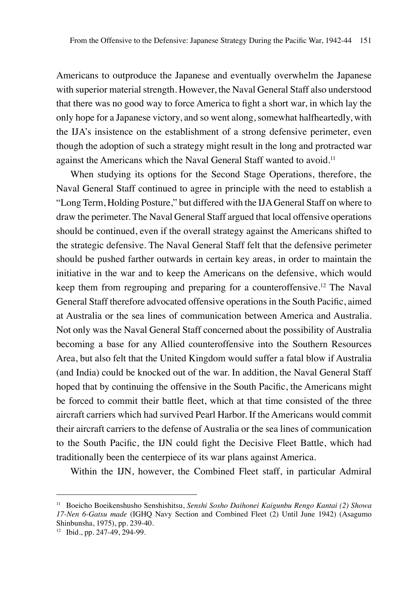Americans to outproduce the Japanese and eventually overwhelm the Japanese with superior material strength. However, the Naval General Staff also understood that there was no good way to force America to fight a short war, in which lay the only hope for a Japanese victory, and so went along, somewhat halfheartedly, with the IJA's insistence on the establishment of a strong defensive perimeter, even though the adoption of such a strategy might result in the long and protracted war against the Americans which the Naval General Staff wanted to avoid.<sup>11</sup>

When studying its options for the Second Stage Operations, therefore, the Naval General Staff continued to agree in principle with the need to establish a "Long Term, Holding Posture," but differed with the IJA General Staff on where to draw the perimeter. The Naval General Staff argued that local offensive operations should be continued, even if the overall strategy against the Americans shifted to the strategic defensive. The Naval General Staff felt that the defensive perimeter should be pushed farther outwards in certain key areas, in order to maintain the initiative in the war and to keep the Americans on the defensive, which would keep them from regrouping and preparing for a counteroffensive.<sup>12</sup> The Naval General Staff therefore advocated offensive operations in the South Pacific, aimed at Australia or the sea lines of communication between America and Australia. Not only was the Naval General Staff concerned about the possibility of Australia becoming a base for any Allied counteroffensive into the Southern Resources Area, but also felt that the United Kingdom would suffer a fatal blow if Australia (and India) could be knocked out of the war. In addition, the Naval General Staff hoped that by continuing the offensive in the South Pacific, the Americans might be forced to commit their battle fleet, which at that time consisted of the three aircraft carriers which had survived Pearl Harbor. If the Americans would commit their aircraft carriers to the defense of Australia or the sea lines of communication to the South Pacific, the IJN could fight the Decisive Fleet Battle, which had traditionally been the centerpiece of its war plans against America.

Within the IJN, however, the Combined Fleet staff, in particular Admiral

<sup>11</sup> Boeicho Boeikenshusho Senshishitsu, *Senshi Sosho Daihonei Kaigunbu Rengo Kantai (2) Showa 17-Nen 6-Gatsu made* (IGHQ Navy Section and Combined Fleet (2) Until June 1942) (Asagumo Shinbunsha, 1975), pp. 239-40.

<sup>12</sup> Ibid., pp. 247-49, 294-99.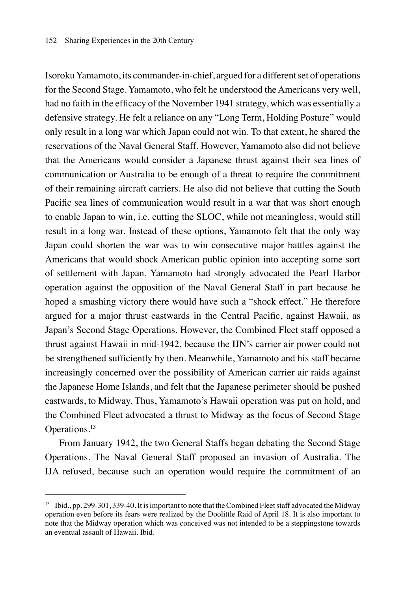Isoroku Yamamoto, its commander-in-chief, argued for a different set of operations for the Second Stage. Yamamoto, who felt he understood the Americans very well, had no faith in the efficacy of the November 1941 strategy, which was essentially a defensive strategy. He felt a reliance on any "Long Term, Holding Posture" would only result in a long war which Japan could not win. To that extent, he shared the reservations of the Naval General Staff. However, Yamamoto also did not believe that the Americans would consider a Japanese thrust against their sea lines of communication or Australia to be enough of a threat to require the commitment of their remaining aircraft carriers. He also did not believe that cutting the South Pacific sea lines of communication would result in a war that was short enough to enable Japan to win, i.e. cutting the SLOC, while not meaningless, would still result in a long war. Instead of these options, Yamamoto felt that the only way Japan could shorten the war was to win consecutive major battles against the Americans that would shock American public opinion into accepting some sort of settlement with Japan. Yamamoto had strongly advocated the Pearl Harbor operation against the opposition of the Naval General Staff in part because he hoped a smashing victory there would have such a "shock effect." He therefore argued for a major thrust eastwards in the Central Pacific, against Hawaii, as Japan's Second Stage Operations. However, the Combined Fleet staff opposed a thrust against Hawaii in mid-1942, because the IJN's carrier air power could not be strengthened sufficiently by then. Meanwhile, Yamamoto and his staff became increasingly concerned over the possibility of American carrier air raids against the Japanese Home Islands, and felt that the Japanese perimeter should be pushed eastwards, to Midway. Thus, Yamamoto's Hawaii operation was put on hold, and the Combined Fleet advocated a thrust to Midway as the focus of Second Stage Operations.<sup>13</sup>

From January 1942, the two General Staffs began debating the Second Stage Operations. The Naval General Staff proposed an invasion of Australia. The IJA refused, because such an operation would require the commitment of an

<sup>13</sup> Ibid., pp. 299-301, 339-40. It is important to note that the Combined Fleet staff advocated the Midway operation even before its fears were realized by the Doolittle Raid of April 18. It is also important to note that the Midway operation which was conceived was not intended to be a steppingstone towards an eventual assault of Hawaii. Ibid.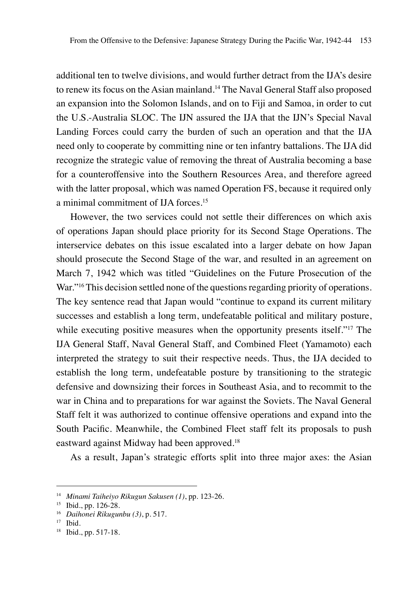additional ten to twelve divisions, and would further detract from the IJA's desire to renew its focus on the Asian mainland.14 The Naval General Staff also proposed an expansion into the Solomon Islands, and on to Fiji and Samoa, in order to cut the U.S.-Australia SLOC. The IJN assured the IJA that the IJN's Special Naval Landing Forces could carry the burden of such an operation and that the IJA need only to cooperate by committing nine or ten infantry battalions. The IJA did recognize the strategic value of removing the threat of Australia becoming a base for a counteroffensive into the Southern Resources Area, and therefore agreed with the latter proposal, which was named Operation FS, because it required only a minimal commitment of IJA forces.15

However, the two services could not settle their differences on which axis of operations Japan should place priority for its Second Stage Operations. The interservice debates on this issue escalated into a larger debate on how Japan should prosecute the Second Stage of the war, and resulted in an agreement on March 7, 1942 which was titled "Guidelines on the Future Prosecution of the War."<sup>16</sup> This decision settled none of the questions regarding priority of operations. The key sentence read that Japan would "continue to expand its current military successes and establish a long term, undefeatable political and military posture, while executing positive measures when the opportunity presents itself."<sup>17</sup> The IJA General Staff, Naval General Staff, and Combined Fleet (Yamamoto) each interpreted the strategy to suit their respective needs. Thus, the IJA decided to establish the long term, undefeatable posture by transitioning to the strategic defensive and downsizing their forces in Southeast Asia, and to recommit to the war in China and to preparations for war against the Soviets. The Naval General Staff felt it was authorized to continue offensive operations and expand into the South Pacific. Meanwhile, the Combined Fleet staff felt its proposals to push eastward against Midway had been approved.<sup>18</sup>

As a result, Japan's strategic efforts split into three major axes: the Asian

<sup>14</sup> *Minami Taiheiyo Rikugun Sakusen (1)*, pp. 123-26.

<sup>15</sup> Ibid., pp. 126-28.

<sup>16</sup> *Daihonei Rikugunbu (3)*, p. 517.

 $17$  Ibid.

<sup>18</sup> Ibid., pp. 517-18.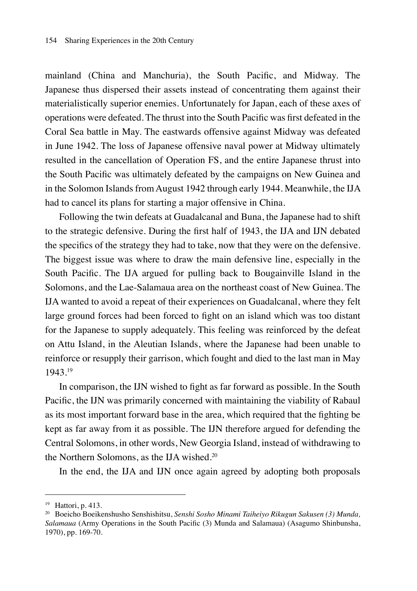mainland (China and Manchuria), the South Pacific, and Midway. The Japanese thus dispersed their assets instead of concentrating them against their materialistically superior enemies. Unfortunately for Japan, each of these axes of operations were defeated. The thrust into the South Pacific was first defeated in the Coral Sea battle in May. The eastwards offensive against Midway was defeated in June 1942. The loss of Japanese offensive naval power at Midway ultimately resulted in the cancellation of Operation FS, and the entire Japanese thrust into the South Pacific was ultimately defeated by the campaigns on New Guinea and in the Solomon Islands from August 1942 through early 1944. Meanwhile, the IJA had to cancel its plans for starting a major offensive in China.

Following the twin defeats at Guadalcanal and Buna, the Japanese had to shift to the strategic defensive. During the first half of 1943, the IJA and IJN debated the specifics of the strategy they had to take, now that they were on the defensive. The biggest issue was where to draw the main defensive line, especially in the South Pacific. The IJA argued for pulling back to Bougainville Island in the Solomons, and the Lae-Salamaua area on the northeast coast of New Guinea. The IJA wanted to avoid a repeat of their experiences on Guadalcanal, where they felt large ground forces had been forced to fight on an island which was too distant for the Japanese to supply adequately. This feeling was reinforced by the defeat on Attu Island, in the Aleutian Islands, where the Japanese had been unable to reinforce or resupply their garrison, which fought and died to the last man in May 1943.19

In comparison, the IJN wished to fight as far forward as possible. In the South Pacific, the IJN was primarily concerned with maintaining the viability of Rabaul as its most important forward base in the area, which required that the fighting be kept as far away from it as possible. The IJN therefore argued for defending the Central Solomons, in other words, New Georgia Island, instead of withdrawing to the Northern Solomons, as the IJA wished.<sup>20</sup>

In the end, the IJA and IJN once again agreed by adopting both proposals

<sup>19</sup> Hattori, p. 413.

<sup>20</sup> Boeicho Boeikenshusho Senshishitsu, *Senshi Sosho Minami Taiheiyo Rikugun Sakusen (3) Munda, Salamaua* (Army Operations in the South Pacific (3) Munda and Salamaua) (Asagumo Shinbunsha, 1970), pp. 169-70.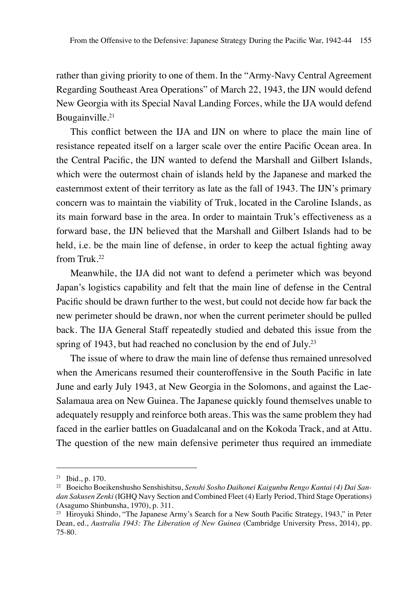rather than giving priority to one of them. In the "Army-Navy Central Agreement Regarding Southeast Area Operations" of March 22, 1943, the IJN would defend New Georgia with its Special Naval Landing Forces, while the IJA would defend Bougainville.<sup>21</sup>

This conflict between the IJA and IJN on where to place the main line of resistance repeated itself on a larger scale over the entire Pacific Ocean area. In the Central Pacific, the IJN wanted to defend the Marshall and Gilbert Islands, which were the outermost chain of islands held by the Japanese and marked the easternmost extent of their territory as late as the fall of 1943. The IJN's primary concern was to maintain the viability of Truk, located in the Caroline Islands, as its main forward base in the area. In order to maintain Truk's effectiveness as a forward base, the IJN believed that the Marshall and Gilbert Islands had to be held, i.e. be the main line of defense, in order to keep the actual fighting away from Truk.22

Meanwhile, the IJA did not want to defend a perimeter which was beyond Japan's logistics capability and felt that the main line of defense in the Central Pacific should be drawn further to the west, but could not decide how far back the new perimeter should be drawn, nor when the current perimeter should be pulled back. The IJA General Staff repeatedly studied and debated this issue from the spring of 1943, but had reached no conclusion by the end of July.<sup>23</sup>

The issue of where to draw the main line of defense thus remained unresolved when the Americans resumed their counteroffensive in the South Pacific in late June and early July 1943, at New Georgia in the Solomons, and against the Lae-Salamaua area on New Guinea. The Japanese quickly found themselves unable to adequately resupply and reinforce both areas. This was the same problem they had faced in the earlier battles on Guadalcanal and on the Kokoda Track, and at Attu. The question of the new main defensive perimeter thus required an immediate

<sup>21</sup> Ibid., p. 170.

<sup>22</sup> Boeicho Boeikenshusho Senshishitsu, *Senshi Sosho Daihonei Kaigunbu Rengo Kantai (4) Dai Sandan Sakusen Zenki* (IGHQ Navy Section and Combined Fleet (4) Early Period, Third Stage Operations) (Asagumo Shinbunsha, 1970), p. 311.

<sup>&</sup>lt;sup>23</sup> Hiroyuki Shindo, "The Japanese Army's Search for a New South Pacific Strategy, 1943," in Peter Dean, ed., *Australia 1943: The Liberation of New Guinea* (Cambridge University Press, 2014), pp. 75-80.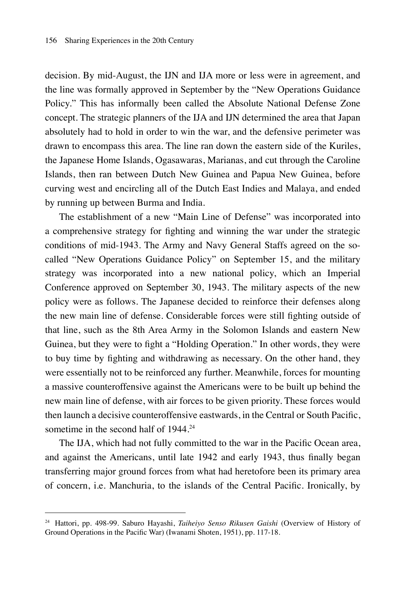decision. By mid-August, the IJN and IJA more or less were in agreement, and the line was formally approved in September by the "New Operations Guidance Policy." This has informally been called the Absolute National Defense Zone concept. The strategic planners of the IJA and IJN determined the area that Japan absolutely had to hold in order to win the war, and the defensive perimeter was drawn to encompass this area. The line ran down the eastern side of the Kuriles, the Japanese Home Islands, Ogasawaras, Marianas, and cut through the Caroline Islands, then ran between Dutch New Guinea and Papua New Guinea, before curving west and encircling all of the Dutch East Indies and Malaya, and ended by running up between Burma and India.

The establishment of a new "Main Line of Defense" was incorporated into a comprehensive strategy for fighting and winning the war under the strategic conditions of mid-1943. The Army and Navy General Staffs agreed on the socalled "New Operations Guidance Policy" on September 15, and the military strategy was incorporated into a new national policy, which an Imperial Conference approved on September 30, 1943. The military aspects of the new policy were as follows. The Japanese decided to reinforce their defenses along the new main line of defense. Considerable forces were still fighting outside of that line, such as the 8th Area Army in the Solomon Islands and eastern New Guinea, but they were to fight a "Holding Operation." In other words, they were to buy time by fighting and withdrawing as necessary. On the other hand, they were essentially not to be reinforced any further. Meanwhile, forces for mounting a massive counteroffensive against the Americans were to be built up behind the new main line of defense, with air forces to be given priority. These forces would then launch a decisive counteroffensive eastwards, in the Central or South Pacific, sometime in the second half of 1944.<sup>24</sup>

The IJA, which had not fully committed to the war in the Pacific Ocean area, and against the Americans, until late 1942 and early 1943, thus finally began transferring major ground forces from what had heretofore been its primary area of concern, i.e. Manchuria, to the islands of the Central Pacific. Ironically, by

<sup>24</sup> Hattori, pp. 498-99. Saburo Hayashi, *Taiheiyo Senso Rikusen Gaishi* (Overview of History of Ground Operations in the Pacific War) (Iwanami Shoten, 1951), pp. 117-18.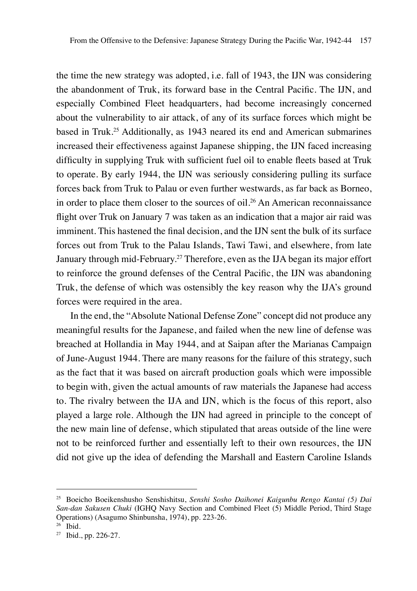the time the new strategy was adopted, i.e. fall of 1943, the IJN was considering the abandonment of Truk, its forward base in the Central Pacific. The IJN, and especially Combined Fleet headquarters, had become increasingly concerned about the vulnerability to air attack, of any of its surface forces which might be based in Truk.25 Additionally, as 1943 neared its end and American submarines increased their effectiveness against Japanese shipping, the IJN faced increasing difficulty in supplying Truk with sufficient fuel oil to enable fleets based at Truk to operate. By early 1944, the IJN was seriously considering pulling its surface forces back from Truk to Palau or even further westwards, as far back as Borneo, in order to place them closer to the sources of oil.<sup>26</sup> An American reconnaissance flight over Truk on January 7 was taken as an indication that a major air raid was imminent. This hastened the final decision, and the IJN sent the bulk of its surface forces out from Truk to the Palau Islands, Tawi Tawi, and elsewhere, from late January through mid-February.27 Therefore, even as the IJA began its major effort to reinforce the ground defenses of the Central Pacific, the IJN was abandoning Truk, the defense of which was ostensibly the key reason why the IJA's ground forces were required in the area.

In the end, the "Absolute National Defense Zone" concept did not produce any meaningful results for the Japanese, and failed when the new line of defense was breached at Hollandia in May 1944, and at Saipan after the Marianas Campaign of June-August 1944. There are many reasons for the failure of this strategy, such as the fact that it was based on aircraft production goals which were impossible to begin with, given the actual amounts of raw materials the Japanese had access to. The rivalry between the IJA and IJN, which is the focus of this report, also played a large role. Although the IJN had agreed in principle to the concept of the new main line of defense, which stipulated that areas outside of the line were not to be reinforced further and essentially left to their own resources, the IJN did not give up the idea of defending the Marshall and Eastern Caroline Islands

<sup>25</sup> Boeicho Boeikenshusho Senshishitsu, *Senshi Sosho Daihonei Kaigunbu Rengo Kantai (5) Dai San-dan Sakusen Chuki* (IGHQ Navy Section and Combined Fleet (5) Middle Period, Third Stage Operations) (Asagumo Shinbunsha, 1974), pp. 223-26.

 $26$  Ibid.

<sup>27</sup> Ibid., pp. 226-27.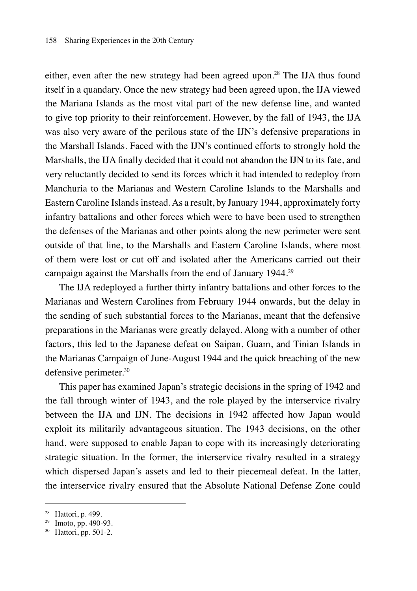either, even after the new strategy had been agreed upon.<sup>28</sup> The IJA thus found itself in a quandary. Once the new strategy had been agreed upon, the IJA viewed the Mariana Islands as the most vital part of the new defense line, and wanted to give top priority to their reinforcement. However, by the fall of 1943, the IJA was also very aware of the perilous state of the IJN's defensive preparations in the Marshall Islands. Faced with the IJN's continued efforts to strongly hold the Marshalls, the IJA finally decided that it could not abandon the IJN to its fate, and very reluctantly decided to send its forces which it had intended to redeploy from Manchuria to the Marianas and Western Caroline Islands to the Marshalls and Eastern Caroline Islands instead. As a result, by January 1944, approximately forty infantry battalions and other forces which were to have been used to strengthen the defenses of the Marianas and other points along the new perimeter were sent outside of that line, to the Marshalls and Eastern Caroline Islands, where most of them were lost or cut off and isolated after the Americans carried out their campaign against the Marshalls from the end of January 1944.29

The IJA redeployed a further thirty infantry battalions and other forces to the Marianas and Western Carolines from February 1944 onwards, but the delay in the sending of such substantial forces to the Marianas, meant that the defensive preparations in the Marianas were greatly delayed. Along with a number of other factors, this led to the Japanese defeat on Saipan, Guam, and Tinian Islands in the Marianas Campaign of June-August 1944 and the quick breaching of the new defensive perimeter.<sup>30</sup>

This paper has examined Japan's strategic decisions in the spring of 1942 and the fall through winter of 1943, and the role played by the interservice rivalry between the IJA and IJN. The decisions in 1942 affected how Japan would exploit its militarily advantageous situation. The 1943 decisions, on the other hand, were supposed to enable Japan to cope with its increasingly deteriorating strategic situation. In the former, the interservice rivalry resulted in a strategy which dispersed Japan's assets and led to their piecemeal defeat. In the latter, the interservice rivalry ensured that the Absolute National Defense Zone could

<sup>28</sup> Hattori, p. 499.

<sup>29</sup> Imoto, pp. 490-93.

<sup>30</sup> Hattori, pp. 501-2.